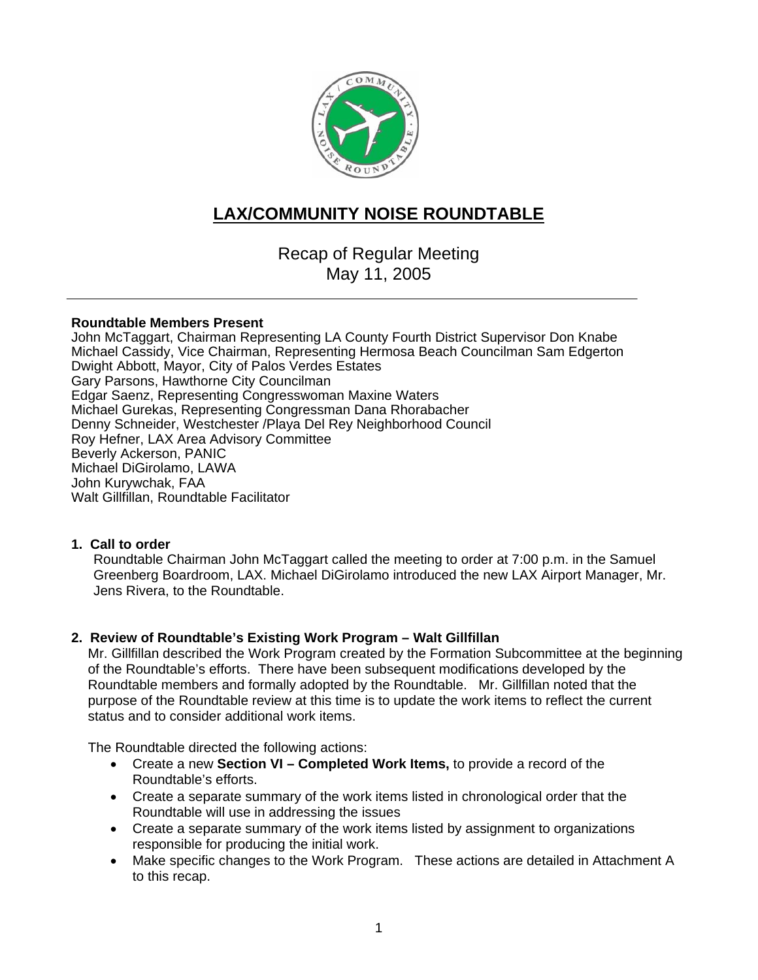

## **LAX/COMMUNITY NOISE ROUNDTABLE**

Recap of Regular Meeting May 11, 2005

#### **Roundtable Members Present**

John McTaggart, Chairman Representing LA County Fourth District Supervisor Don Knabe Michael Cassidy, Vice Chairman, Representing Hermosa Beach Councilman Sam Edgerton Dwight Abbott, Mayor, City of Palos Verdes Estates Gary Parsons, Hawthorne City Councilman Edgar Saenz, Representing Congresswoman Maxine Waters Michael Gurekas, Representing Congressman Dana Rhorabacher Denny Schneider, Westchester /Playa Del Rey Neighborhood Council Roy Hefner, LAX Area Advisory Committee Beverly Ackerson, PANIC Michael DiGirolamo, LAWA John Kurywchak, FAA Walt Gillfillan, Roundtable Facilitator

#### **1. Call to order**

Roundtable Chairman John McTaggart called the meeting to order at 7:00 p.m. in the Samuel Greenberg Boardroom, LAX. Michael DiGirolamo introduced the new LAX Airport Manager, Mr. Jens Rivera, to the Roundtable.

#### **2. Review of Roundtable's Existing Work Program – Walt Gillfillan**

Mr. Gillfillan described the Work Program created by the Formation Subcommittee at the beginning of the Roundtable's efforts. There have been subsequent modifications developed by the Roundtable members and formally adopted by the Roundtable. Mr. Gillfillan noted that the purpose of the Roundtable review at this time is to update the work items to reflect the current status and to consider additional work items.

The Roundtable directed the following actions:

- Create a new **Section VI Completed Work Items,** to provide a record of the Roundtable's efforts.
- Create a separate summary of the work items listed in chronological order that the Roundtable will use in addressing the issues
- Create a separate summary of the work items listed by assignment to organizations responsible for producing the initial work.
- Make specific changes to the Work Program. These actions are detailed in Attachment A to this recap.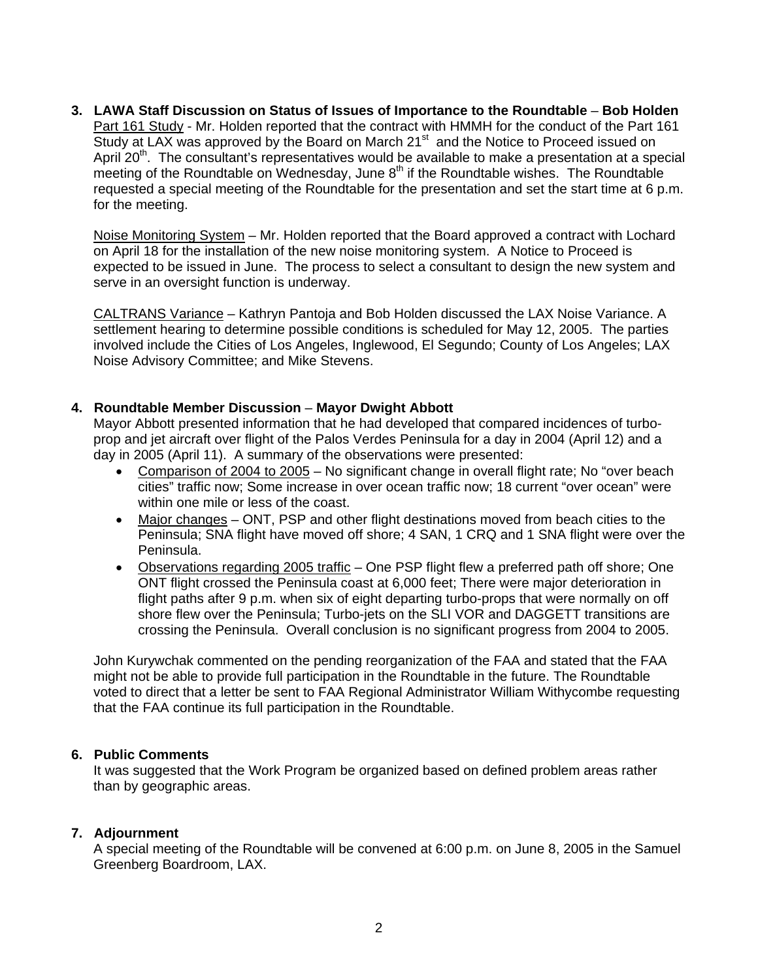**3. LAWA Staff Discussion on Status of Issues of Importance to the Roundtable** – **Bob Holden** Part 161 Study - Mr. Holden reported that the contract with HMMH for the conduct of the Part 161 Study at LAX was approved by the Board on March 21<sup>st</sup> and the Notice to Proceed issued on April 20<sup>th</sup>. The consultant's representatives would be available to make a presentation at a special meeting of the Roundtable on Wednesday, June  $8<sup>th</sup>$  if the Roundtable wishes. The Roundtable requested a special meeting of the Roundtable for the presentation and set the start time at 6 p.m. for the meeting.

Noise Monitoring System – Mr. Holden reported that the Board approved a contract with Lochard on April 18 for the installation of the new noise monitoring system. A Notice to Proceed is expected to be issued in June. The process to select a consultant to design the new system and serve in an oversight function is underway.

CALTRANS Variance – Kathryn Pantoja and Bob Holden discussed the LAX Noise Variance. A settlement hearing to determine possible conditions is scheduled for May 12, 2005. The parties involved include the Cities of Los Angeles, Inglewood, El Segundo; County of Los Angeles; LAX Noise Advisory Committee; and Mike Stevens.

#### **4. Roundtable Member Discussion** – **Mayor Dwight Abbott**

Mayor Abbott presented information that he had developed that compared incidences of turboprop and jet aircraft over flight of the Palos Verdes Peninsula for a day in 2004 (April 12) and a day in 2005 (April 11). A summary of the observations were presented:

- Comparison of 2004 to 2005 No significant change in overall flight rate; No "over beach cities" traffic now; Some increase in over ocean traffic now; 18 current "over ocean" were within one mile or less of the coast.
- Major changes ONT, PSP and other flight destinations moved from beach cities to the Peninsula; SNA flight have moved off shore; 4 SAN, 1 CRQ and 1 SNA flight were over the Peninsula.
- Observations regarding 2005 traffic One PSP flight flew a preferred path off shore; One ONT flight crossed the Peninsula coast at 6,000 feet; There were major deterioration in flight paths after 9 p.m. when six of eight departing turbo-props that were normally on off shore flew over the Peninsula; Turbo-jets on the SLI VOR and DAGGETT transitions are crossing the Peninsula. Overall conclusion is no significant progress from 2004 to 2005.

John Kurywchak commented on the pending reorganization of the FAA and stated that the FAA might not be able to provide full participation in the Roundtable in the future. The Roundtable voted to direct that a letter be sent to FAA Regional Administrator William Withycombe requesting that the FAA continue its full participation in the Roundtable.

#### **6. Public Comments**

It was suggested that the Work Program be organized based on defined problem areas rather than by geographic areas.

#### **7. Adjournment**

A special meeting of the Roundtable will be convened at 6:00 p.m. on June 8, 2005 in the Samuel Greenberg Boardroom, LAX.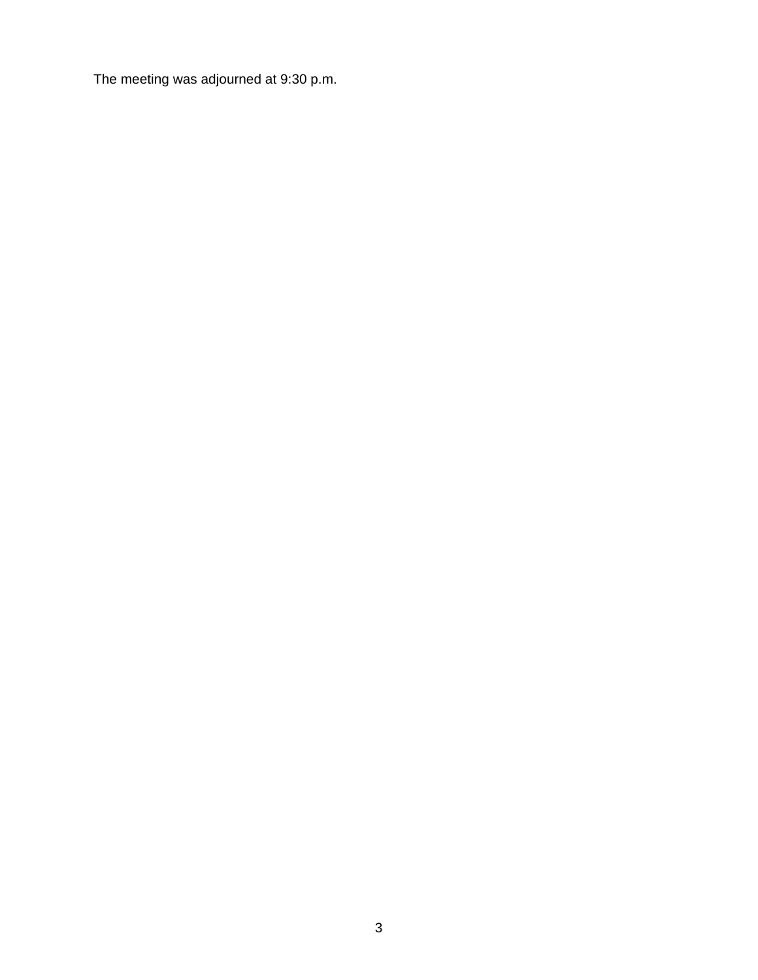The meeting was adjourned at 9:30 p.m.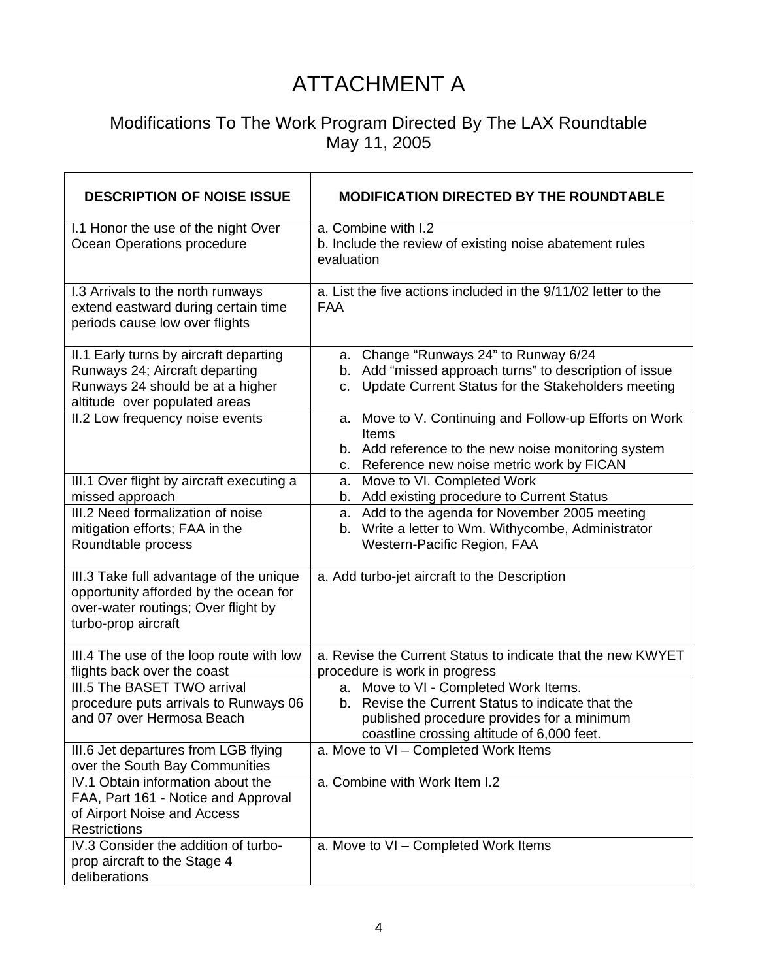# ATTACHMENT A

### Modifications To The Work Program Directed By The LAX Roundtable May 11, 2005

| <b>DESCRIPTION OF NOISE ISSUE</b>                                                                                                              | <b>MODIFICATION DIRECTED BY THE ROUNDTABLE</b>                                                                                                                                            |
|------------------------------------------------------------------------------------------------------------------------------------------------|-------------------------------------------------------------------------------------------------------------------------------------------------------------------------------------------|
| I.1 Honor the use of the night Over<br>Ocean Operations procedure                                                                              | a. Combine with I.2<br>b. Include the review of existing noise abatement rules<br>evaluation                                                                                              |
| I.3 Arrivals to the north runways<br>extend eastward during certain time<br>periods cause low over flights                                     | a. List the five actions included in the 9/11/02 letter to the<br><b>FAA</b>                                                                                                              |
| II.1 Early turns by aircraft departing<br>Runways 24; Aircraft departing<br>Runways 24 should be at a higher<br>altitude over populated areas  | a. Change "Runways 24" to Runway 6/24<br>b. Add "missed approach turns" to description of issue<br>Update Current Status for the Stakeholders meeting<br>C.                               |
| II.2 Low frequency noise events                                                                                                                | a. Move to V. Continuing and Follow-up Efforts on Work<br>Items<br>b. Add reference to the new noise monitoring system<br>Reference new noise metric work by FICAN<br>C.                  |
| III.1 Over flight by aircraft executing a<br>missed approach                                                                                   | Move to VI. Completed Work<br>а.<br>b. Add existing procedure to Current Status                                                                                                           |
| III.2 Need formalization of noise<br>mitigation efforts; FAA in the<br>Roundtable process                                                      | a. Add to the agenda for November 2005 meeting<br>b. Write a letter to Wm. Withycombe, Administrator<br>Western-Pacific Region, FAA                                                       |
| III.3 Take full advantage of the unique<br>opportunity afforded by the ocean for<br>over-water routings; Over flight by<br>turbo-prop aircraft | a. Add turbo-jet aircraft to the Description                                                                                                                                              |
| III.4 The use of the loop route with low<br>flights back over the coast                                                                        | a. Revise the Current Status to indicate that the new KWYET<br>procedure is work in progress                                                                                              |
| III.5 The BASET TWO arrival<br>procedure puts arrivals to Runways 06<br>and 07 over Hermosa Beach                                              | a. Move to VI - Completed Work Items.<br>Revise the Current Status to indicate that the<br>b.<br>published procedure provides for a minimum<br>coastline crossing altitude of 6,000 feet. |
| III.6 Jet departures from LGB flying<br>over the South Bay Communities                                                                         | a. Move to VI - Completed Work Items                                                                                                                                                      |
| IV.1 Obtain information about the<br>FAA, Part 161 - Notice and Approval<br>of Airport Noise and Access<br><b>Restrictions</b>                 | a. Combine with Work Item I.2                                                                                                                                                             |
| IV.3 Consider the addition of turbo-<br>prop aircraft to the Stage 4<br>deliberations                                                          | a. Move to VI - Completed Work Items                                                                                                                                                      |